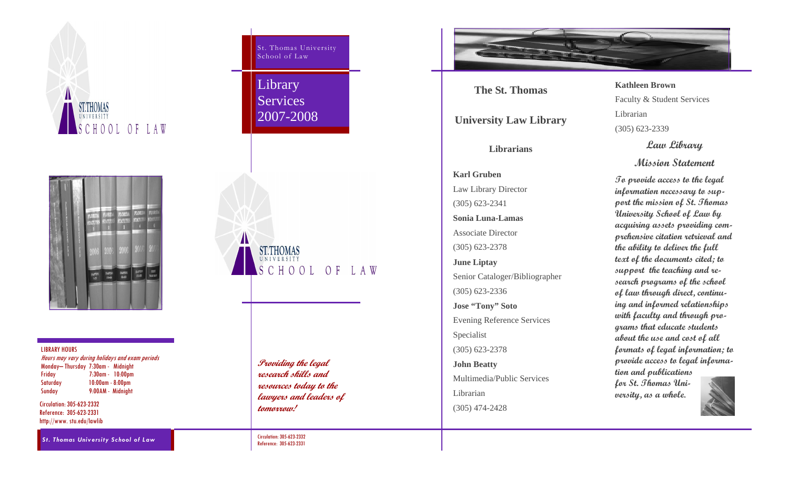



LIBRARY HOURS

Hours may vary during holidays and exam periods Monday– Thursday 7:30am - Midnight Friday 7:30am - 10:00pm Saturday 10:00am - 8:00pm Sunday 9:00AM - Midnight

Circulation: 305-623-2332 Reference: 305-623-2331 http://www. stu.edu/lawlib

*St. Thomas University School of Law* 

St. Thomas University School of Law

**Library** Services 2007-2008



**Providing the legal research skills and resources today to the lawyers and leaders of tomorrow!** 

Circulation: 305-623-2332 Reference: 305-623-2331



**The St. Thomas** 

**University Law Library** 

**Librarians** 

**Karl Gruben** Law Library Director (305) 623-2341 **Sonia Luna-Lamas** Associate Director (305) 623-2378 **June Liptay**  Senior Cataloger/Bibliographer (305) 623-2336 **Jose "Tony" Soto**  Evening Reference Services Specialist (305) 623-2378 **John Beatty**  Multimedia/Public Services Librarian (305) 474-2428

# **Kathleen Brown**

Faculty & Student Services

Librarian

(305) 623-2339

**Law Library** 

**Mission Statement** 

**To provide access to the legal information necessary to support the mission of St. Thomas University School of Law by acquiring assets providing comprehensive citation retrieval and the ability to deliver the full text of the documents cited; to support the teaching and research programs of the school of law through direct, continuing and informed relationships with faculty and through programs that educate students about the use and cost of all formats of legal information; to provide access to legal information and publications for St. Thomas Uni-**

**versity, as a whole.**